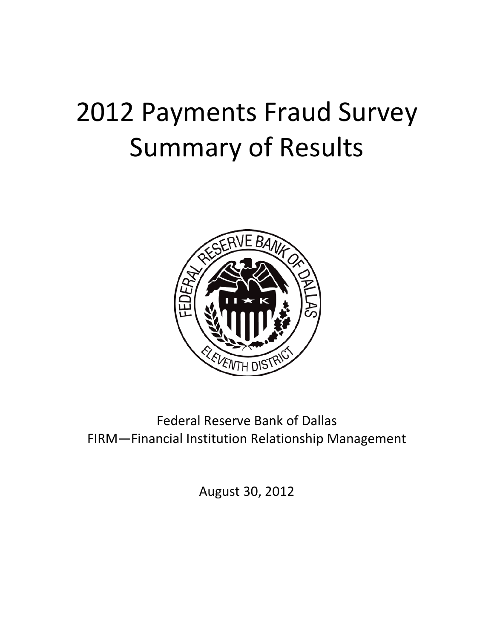# 2012 Payments Fraud Survey Summary of Results



Federal Reserve Bank of Dallas FIRM—Financial Institution Relationship Management

August 30, 2012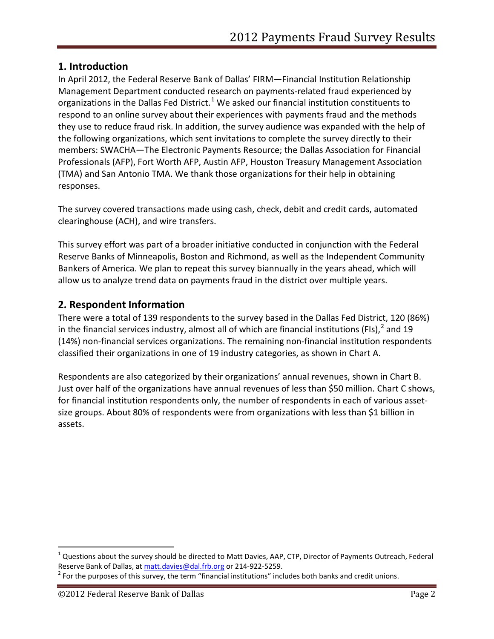# **1. Introduction**

In April 2012, the Federal Reserve Bank of Dallas' FIRM—Financial Institution Relationship Management Department conducted research on payments-related fraud experienced by organizations in the Dallas Fed District.<sup>[1](#page-1-0)</sup> We asked our financial institution constituents to respond to an online survey about their experiences with payments fraud and the methods they use to reduce fraud risk. In addition, the survey audience was expanded with the help of the following organizations, which sent invitations to complete the survey directly to their members: SWACHA—The Electronic Payments Resource; the Dallas Association for Financial Professionals (AFP), Fort Worth AFP, Austin AFP, Houston Treasury Management Association (TMA) and San Antonio TMA. We thank those organizations for their help in obtaining responses.

The survey covered transactions made using cash, check, debit and credit cards, automated clearinghouse (ACH), and wire transfers.

This survey effort was part of a broader initiative conducted in conjunction with the Federal Reserve Banks of Minneapolis, Boston and Richmond, as well as the Independent Community Bankers of America. We plan to repeat this survey biannually in the years ahead, which will allow us to analyze trend data on payments fraud in the district over multiple years.

# **2. Respondent Information**

There were a total of 139 respondents to the survey based in the Dallas Fed District, 120 (86%) in the financial services industry, almost all of which are financial institutions (FIs),<sup>[2](#page-1-1)</sup> and 19 (14%) non-financial services organizations. The remaining non-financial institution respondents classified their organizations in one of 19 industry categories, as shown in Chart A.

Respondents are also categorized by their organizations' annual revenues, shown in Chart B. Just over half of the organizations have annual revenues of less than \$50 million. Chart C shows, for financial institution respondents only, the number of respondents in each of various assetsize groups. About 80% of respondents were from organizations with less than \$1 billion in assets.

<span id="page-1-0"></span> $1$  Questions about the survey should be directed to Matt Davies, AAP, CTP, Director of Payments Outreach, Federal Reserve Bank of Dallas, at [matt.davies@dal.frb.org](mailto:matt.davies@dal.frb.org) or 214-922-5259.

<span id="page-1-1"></span> $2$  For the purposes of this survey, the term "financial institutions" includes both banks and credit unions.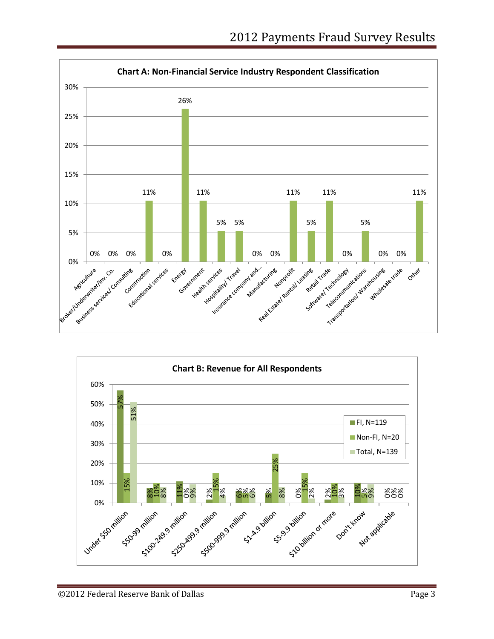

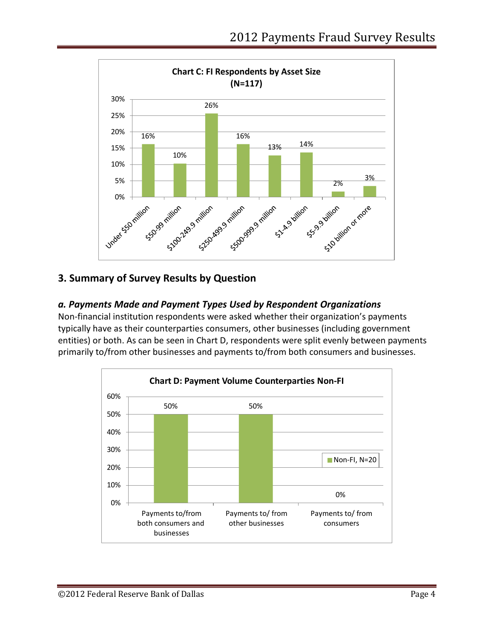

# **3. Summary of Survey Results by Question**

# *a. Payments Made and Payment Types Used by Respondent Organizations*

Non-financial institution respondents were asked whether their organization's payments typically have as their counterparties consumers, other businesses (including government entities) or both. As can be seen in Chart D, respondents were split evenly between payments primarily to/from other businesses and payments to/from both consumers and businesses.

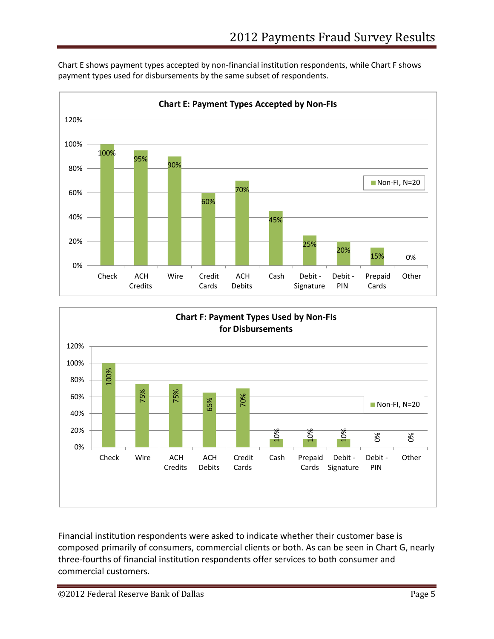Chart E shows payment types accepted by non-financial institution respondents, while Chart F shows payment types used for disbursements by the same subset of respondents.





Financial institution respondents were asked to indicate whether their customer base is composed primarily of consumers, commercial clients or both. As can be seen in Chart G, nearly three-fourths of financial institution respondents offer services to both consumer and commercial customers.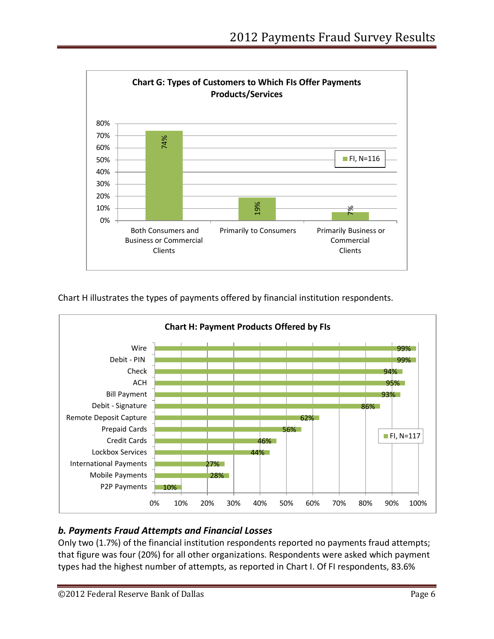

Chart H illustrates the types of payments offered by financial institution respondents.



# *b. Payments Fraud Attempts and Financial Losses*

Only two (1.7%) of the financial institution respondents reported no payments fraud attempts; that figure was four (20%) for all other organizations. Respondents were asked which payment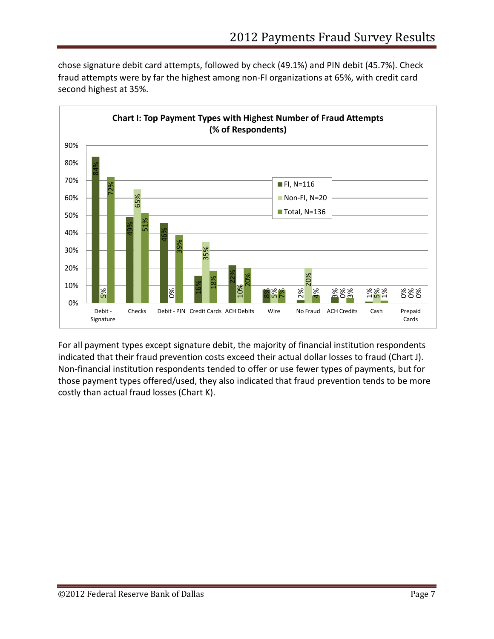chose signature debit card attempts, followed by check (49.1%) and PIN debit (45.7%). Check fraud attempts were by far the highest among non-FI organizations at 65%, with credit card second highest at 35%.



For all payment types except signature debit, the majority of financial institution respondents indicated that their fraud prevention costs exceed their actual dollar losses to fraud (Chart J). Non-financial institution respondents tended to offer or use fewer types of payments, but for those payment types offered/used, they also indicated that fraud prevention tends to be more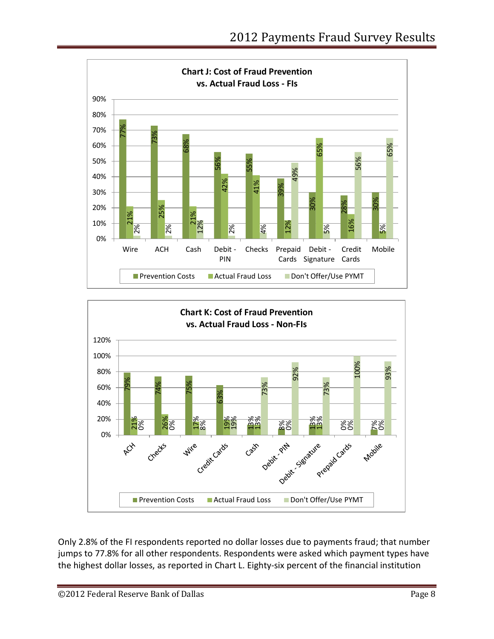



Only 2.8% of the FI respondents reported no dollar losses due to payments fraud; that number jumps to 77.8% for all other respondents. Respondents were asked which payment types have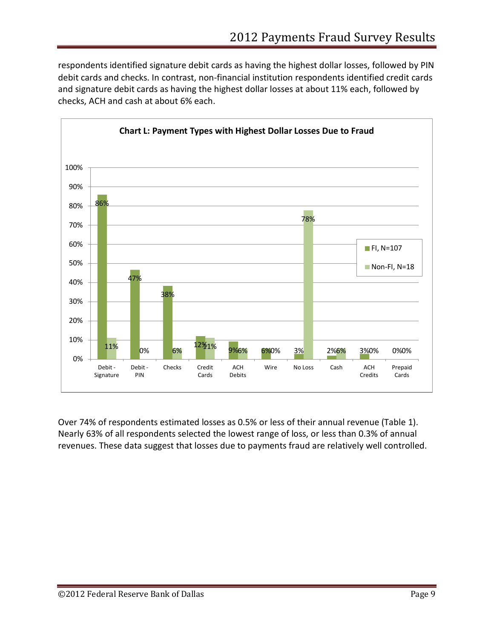respondents identified signature debit cards as having the highest dollar losses, followed by PIN debit cards and checks. In contrast, non-financial institution respondents identified credit cards and signature debit cards as having the highest dollar losses at about 11% each, followed by checks, ACH and cash at about 6% each.



Over 74% of respondents estimated losses as 0.5% or less of their annual revenue (Table 1). Nearly 63% of all respondents selected the lowest range of loss, or less than 0.3% of annual revenues. These data suggest that losses due to payments fraud are relatively well controlled.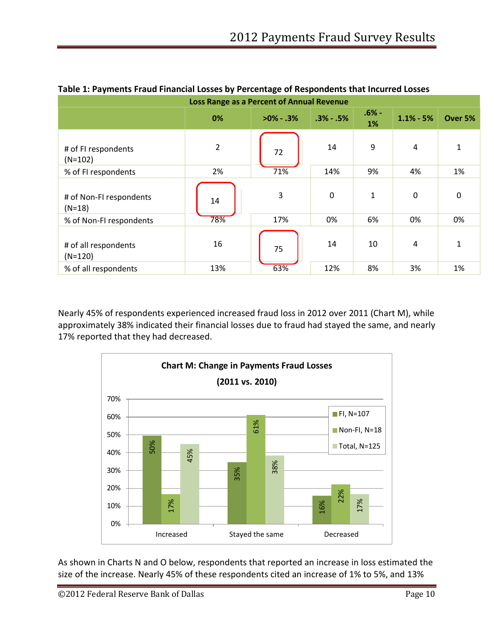| Loss Range as a Percent of Annual Revenue |                |               |                              |         |             |         |  |  |  |  |  |
|-------------------------------------------|----------------|---------------|------------------------------|---------|-------------|---------|--|--|--|--|--|
|                                           | 0%             | $>0\% - .3\%$ | $.6% -$<br>$.3% - .5%$<br>1% |         | $1.1% - 5%$ | Over 5% |  |  |  |  |  |
| # of FI respondents<br>$(N=102)$          | $\overline{2}$ | 72            | 14                           | 9       | 4           | 1       |  |  |  |  |  |
| % of FI respondents                       | 2%             | 71%           | 14%                          | 9%      | 4%          | 1%      |  |  |  |  |  |
| # of Non-FI respondents<br>$(N=18)$       | 14             | 3             | $\mathbf 0$                  | 1<br>6% | 0<br>0%     | 0<br>0% |  |  |  |  |  |
| % of Non-FI respondents                   | 78%            | 17%           | 0%                           |         |             |         |  |  |  |  |  |
| # of all respondents<br>$(N=120)$         | 16             | 75            | 14                           | 10      | 4           | 1       |  |  |  |  |  |
| % of all respondents                      | 13%            | 63%           | 12%                          | 8%      | 3%          | 1%      |  |  |  |  |  |

#### **Table 1: Payments Fraud Financial Losses by Percentage of Respondents that Incurred Losses**

Nearly 45% of respondents experienced increased fraud loss in 2012 over 2011 (Chart M), while approximately 38% indicated their financial losses due to fraud had stayed the same, and nearly 17% reported that they had decreased.



As shown in Charts N and O below, respondents that reported an increase in loss estimated the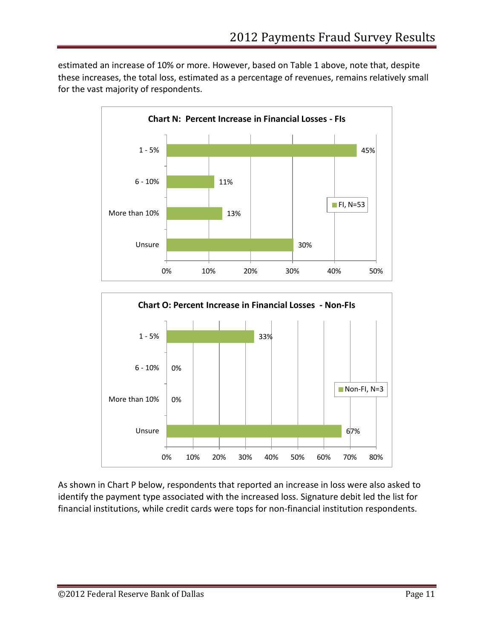67%

estimated an increase of 10% or more. However, based on Table 1 above, note that, despite these increases, the total loss, estimated as a percentage of revenues, remains relatively small for the vast majority of respondents.



As shown in Chart P below, respondents that reported an increase in loss were also asked to identify the payment type associated with the increased loss. Signature debit led the list for financial institutions, while credit cards were tops for non-financial institution respondents.

0% 10% 20% 30% 40% 50% 60% 70% 80%

Unsure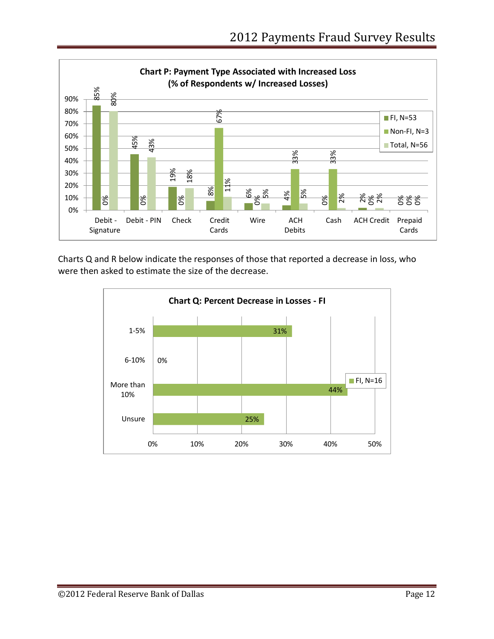

Charts Q and R below indicate the responses of those that reported a decrease in loss, who

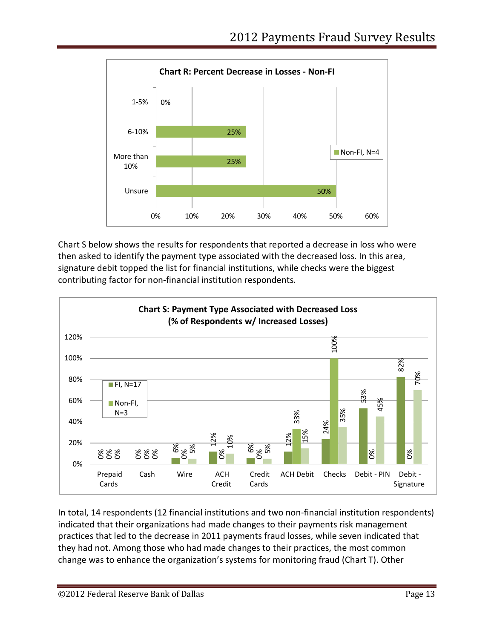

Chart S below shows the results for respondents that reported a decrease in loss who were then asked to identify the payment type associated with the decreased loss. In this area, signature debit topped the list for financial institutions, while checks were the biggest contributing factor for non-financial institution respondents.



In total, 14 respondents (12 financial institutions and two non-financial institution respondents) indicated that their organizations had made changes to their payments risk management practices that led to the decrease in 2011 payments fraud losses, while seven indicated that they had not. Among those who had made changes to their practices, the most common change was to enhance the organization's systems for monitoring fraud (Chart T). Other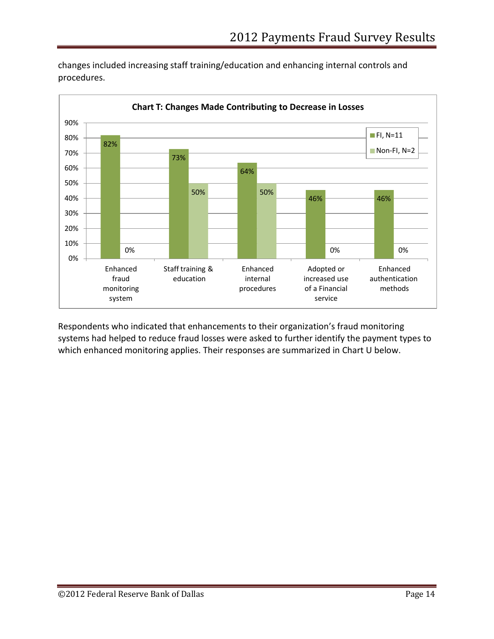

changes included increasing staff training/education and enhancing internal controls and procedures.

Respondents who indicated that enhancements to their organization's fraud monitoring systems had helped to reduce fraud losses were asked to further identify the payment types to which enhanced monitoring applies. Their responses are summarized in Chart U below.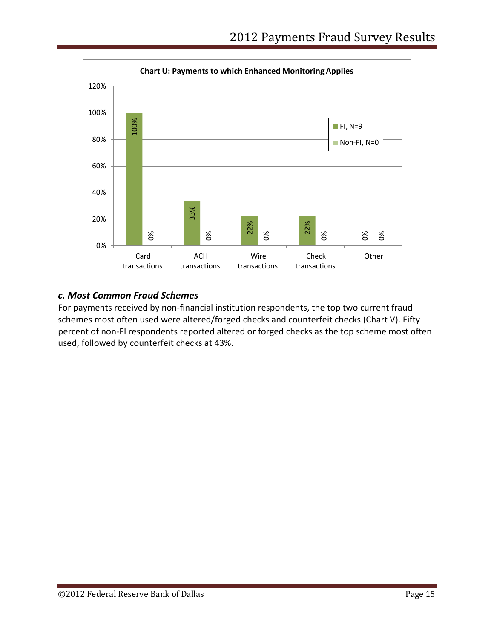

#### *c. Most Common Fraud Schemes*

For payments received by non-financial institution respondents, the top two current fraud schemes most often used were altered/forged checks and counterfeit checks (Chart V). Fifty percent of non-FI respondents reported altered or forged checks as the top scheme most often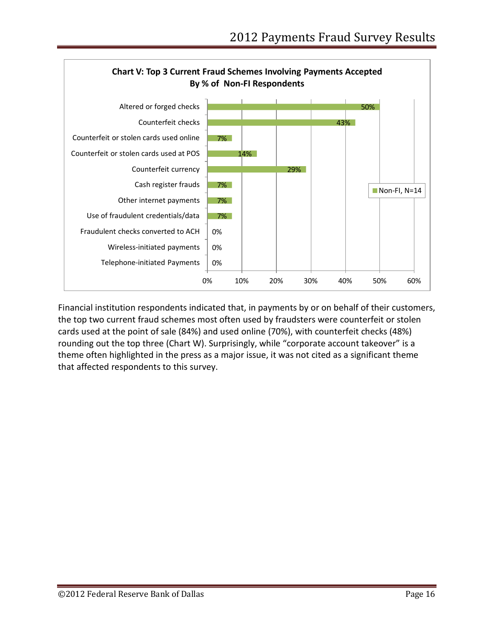

Financial institution respondents indicated that, in payments by or on behalf of their customers, the top two current fraud schemes most often used by fraudsters were counterfeit or stolen cards used at the point of sale (84%) and used online (70%), with counterfeit checks (48%) rounding out the top three (Chart W). Surprisingly, while "corporate account takeover" is a theme often highlighted in the press as a major issue, it was not cited as a significant theme that affected respondents to this survey.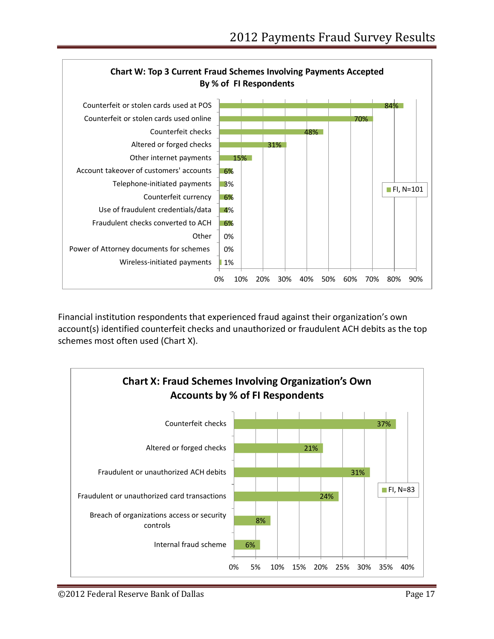

Financial institution respondents that experienced fraud against their organization's own account(s) identified counterfeit checks and unauthorized or fraudulent ACH debits as the top schemes most often used (Chart X).

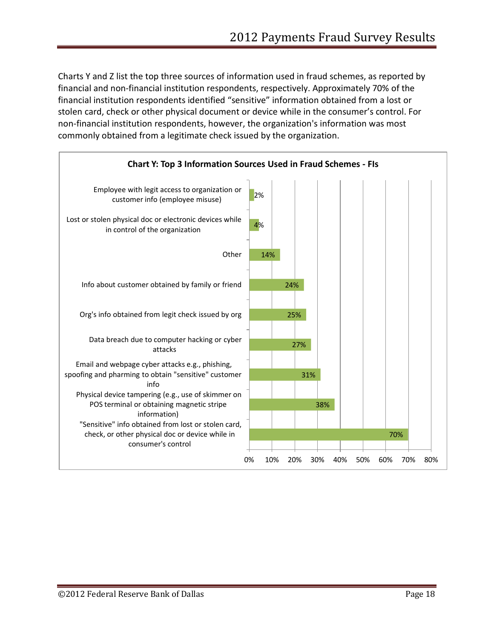Charts Y and Z list the top three sources of information used in fraud schemes, as reported by financial and non-financial institution respondents, respectively. Approximately 70% of the financial institution respondents identified "sensitive" information obtained from a lost or stolen card, check or other physical document or device while in the consumer's control. For non-financial institution respondents, however, the organization's information was most commonly obtained from a legitimate check issued by the organization.

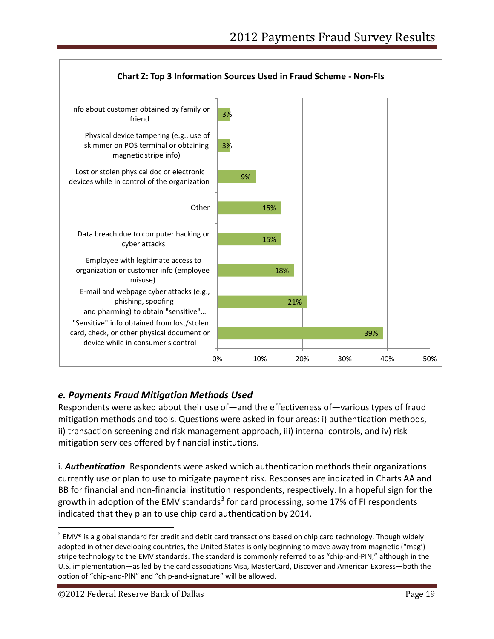

# *e. Payments Fraud Mitigation Methods Used*

Respondents were asked about their use of—and the effectiveness of—various types of fraud mitigation methods and tools. Questions were asked in four areas: i) authentication methods, ii) transaction screening and risk management approach, iii) internal controls, and iv) risk mitigation services offered by financial institutions.

i. *Authentication.* Respondents were asked which authentication methods their organizations currently use or plan to use to mitigate payment risk. Responses are indicated in Charts AA and BB for financial and non-financial institution respondents, respectively. In a hopeful sign for the growth in adoption of the EMV standards<sup>[3](#page-18-0)</sup> for card processing, some 17% of FI respondents indicated that they plan to use chip card authentication by 2014.

<span id="page-18-0"></span> $3$  EMV® is a global standard for credit and debit card transactions based on chip card technology. Though widely adopted in other developing countries, the United States is only beginning to move away from magnetic ("mag') stripe technology to the EMV standards. The standard is commonly referred to as "chip-and-PIN," although in the U.S. implementation—as led by the card associations Visa, MasterCard, Discover and American Express—both the option of "chip-and-PIN" and "chip-and-signature" will be allowed.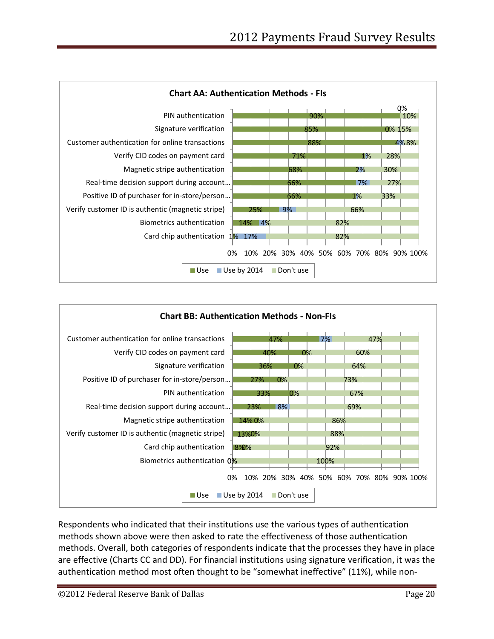



Respondents who indicated that their institutions use the various types of authentication methods shown above were then asked to rate the effectiveness of those authentication methods. Overall, both categories of respondents indicate that the processes they have in place are effective (Charts CC and DD). For financial institutions using signature verification, it was the authentication method most often thought to be "somewhat ineffective" (11%), while non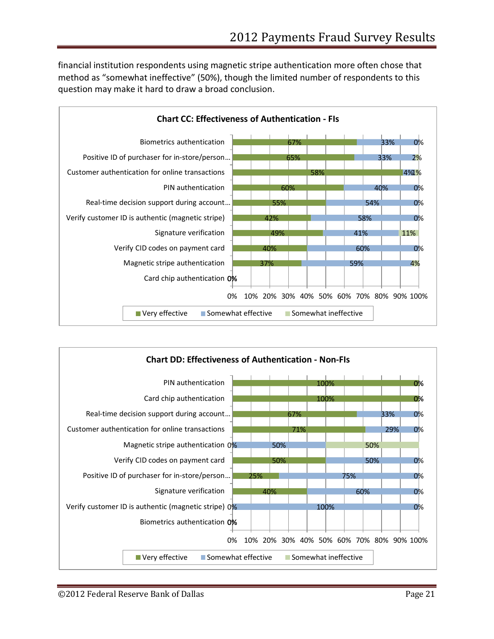financial institution respondents using magnetic stripe authentication more often chose that method as "somewhat ineffective" (50%), though the limited number of respondents to this question may make it hard to draw a broad conclusion.



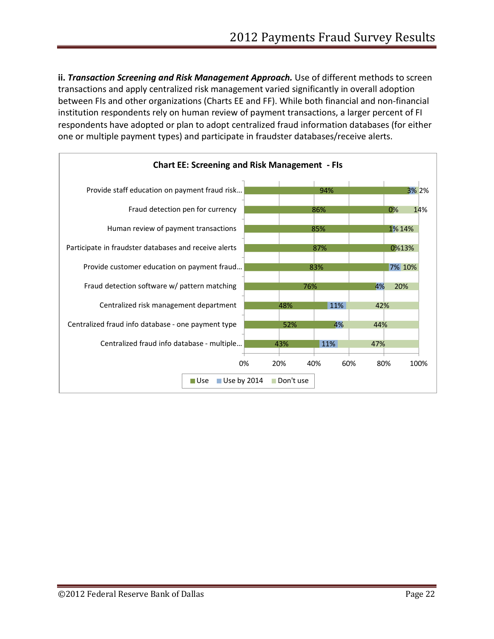ii. **Transaction Screening and Risk Management Approach.** Use of different methods to screen transactions and apply centralized risk management varied significantly in overall adoption between FIs and other organizations (Charts EE and FF). While both financial and non-financial institution respondents rely on human review of payment transactions, a larger percent of FI respondents have adopted or plan to adopt centralized fraud information databases (for either one or multiple payment types) and participate in fraudster databases/receive alerts.

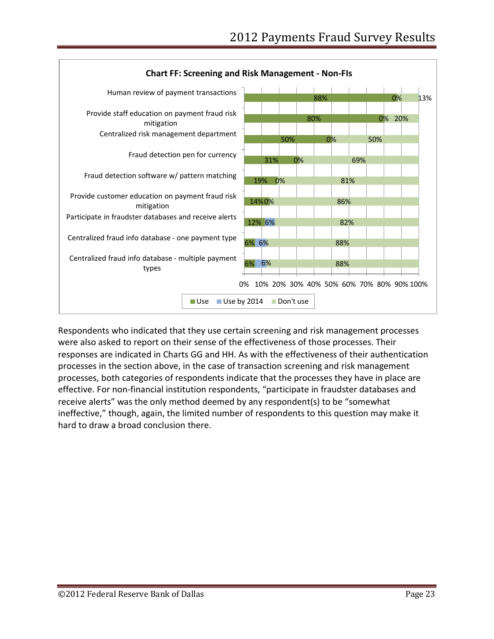

Respondents who indicated that they use certain screening and risk management processes were also asked to report on their sense of the effectiveness of those processes. Their responses are indicated in Charts GG and HH. As with the effectiveness of their authentication processes in the section above, in the case of transaction screening and risk management processes, both categories of respondents indicate that the processes they have in place are effective. For non-financial institution respondents, "participate in fraudster databases and receive alerts" was the only method deemed by any respondent(s) to be "somewhat ineffective," though, again, the limited number of respondents to this question may make it hard to draw a broad conclusion there.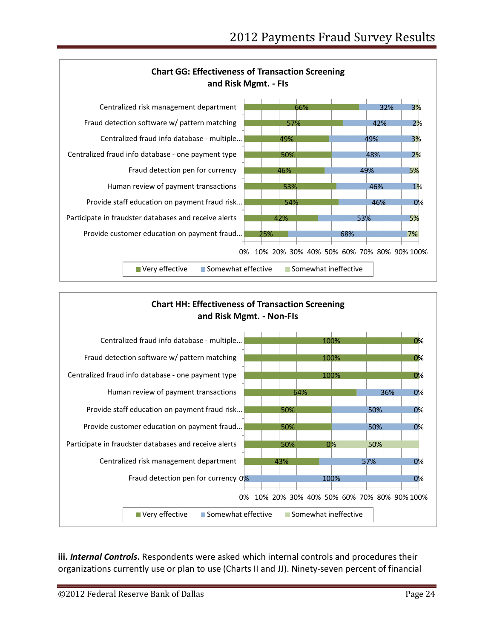



**iii.** *Internal Controls***.** Respondents were asked which internal controls and procedures their organizations currently use or plan to use (Charts II and JJ). Ninety-seven percent of financial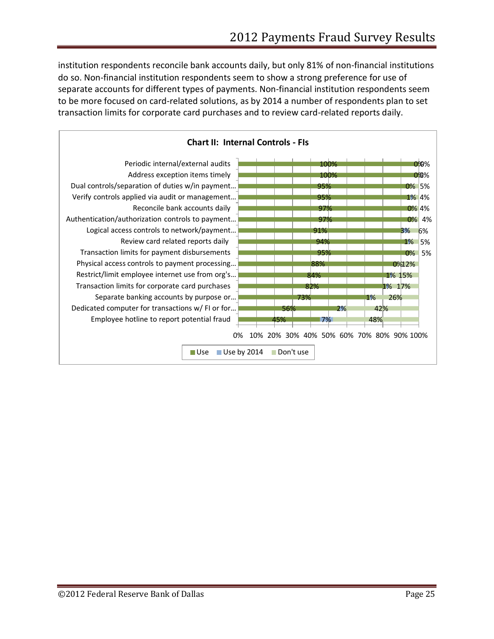institution respondents reconcile bank accounts daily, but only 81% of non-financial institutions do so. Non-financial institution respondents seem to show a strong preference for use of separate accounts for different types of payments. Non-financial institution respondents seem to be more focused on card-related solutions, as by 2014 a number of respondents plan to set transaction limits for corporate card purchases and to review card-related reports daily.

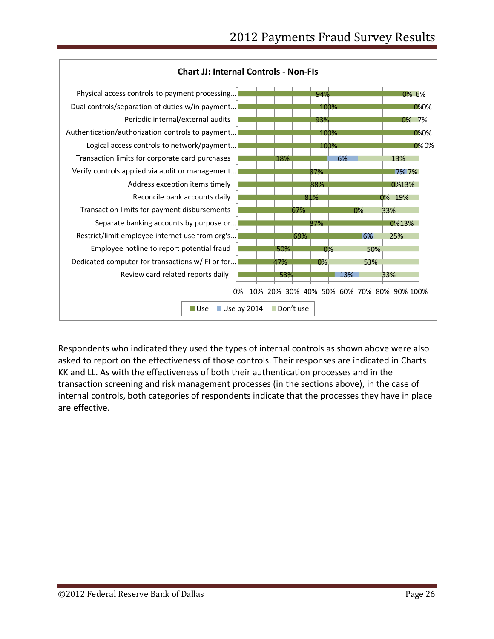

Respondents who indicated they used the types of internal controls as shown above were also asked to report on the effectiveness of those controls. Their responses are indicated in Charts KK and LL. As with the effectiveness of both their authentication processes and in the transaction screening and risk management processes (in the sections above), in the case of internal controls, both categories of respondents indicate that the processes they have in place are effective.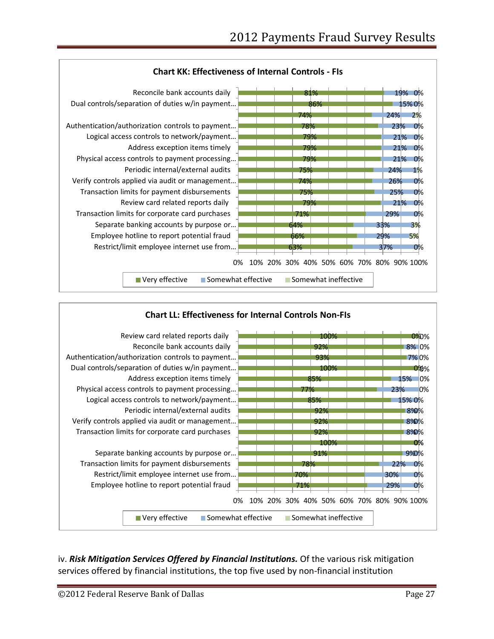



#### iv. Risk Mitigation Services Offered by Financial Institutions. Of the various risk mitigation services offered by financial institutions, the top five used by non-financial institution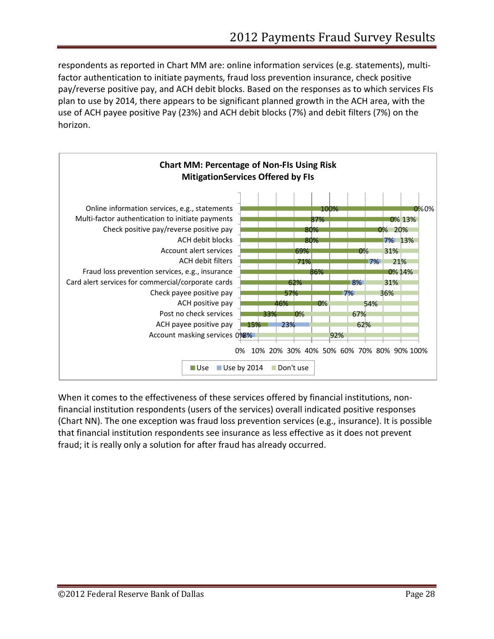respondents as reported in Chart MM are: online information services (e.g. statements), multifactor authentication to initiate payments, fraud loss prevention insurance, check positive pay/reverse positive pay, and ACH debit blocks. Based on the responses as to which services FIs plan to use by 2014, there appears to be significant planned growth in the ACH area, with the use of ACH payee positive Pay (23%) and ACH debit blocks (7%) and debit filters (7%) on the horizon.



When it comes to the effectiveness of these services offered by financial institutions, nonfinancial institution respondents (users of the services) overall indicated positive responses (Chart NN). The one exception was fraud loss prevention services (e.g., insurance). It is possible that financial institution respondents see insurance as less effective as it does not prevent fraud; it is really only a solution for after fraud has already occurred.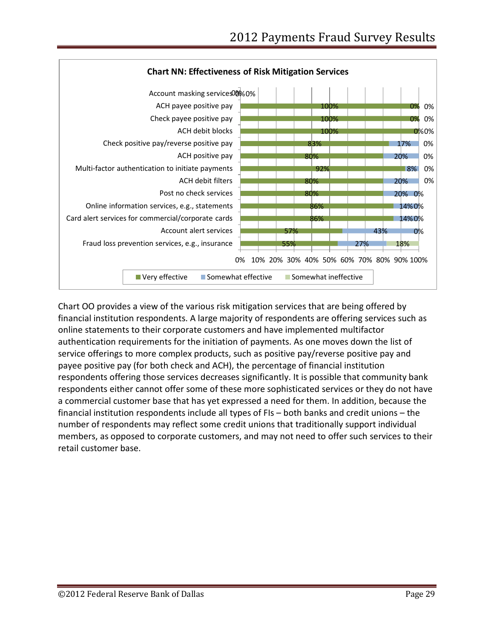

Chart OO provides a view of the various risk mitigation services that are being offered by financial institution respondents. A large majority of respondents are offering services such as online statements to their corporate customers and have implemented multifactor authentication requirements for the initiation of payments. As one moves down the list of service offerings to more complex products, such as positive pay/reverse positive pay and payee positive pay (for both check and ACH), the percentage of financial institution respondents offering those services decreases significantly. It is possible that community bank respondents either cannot offer some of these more sophisticated services or they do not have a commercial customer base that has yet expressed a need for them. In addition, because the financial institution respondents include all types of FIs – both banks and credit unions – the number of respondents may reflect some credit unions that traditionally support individual members, as opposed to corporate customers, and may not need to offer such services to their retail customer base.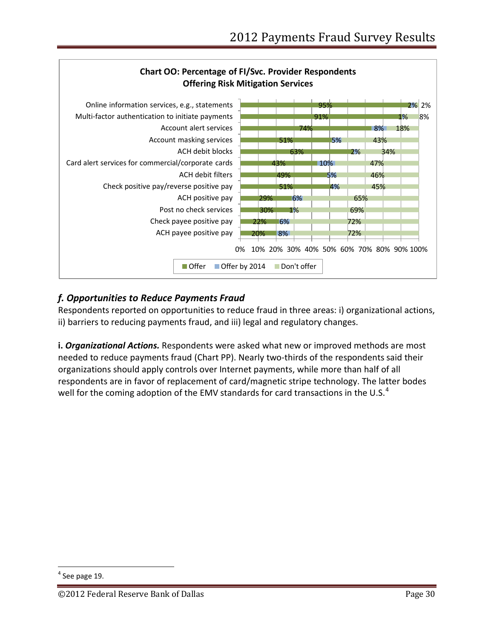

# *f. Opportunities to Reduce Payments Fraud*

Respondents reported on opportunities to reduce fraud in three areas: i) organizational actions, ii) barriers to reducing payments fraud, and iii) legal and regulatory changes.

**i.** *Organizational Actions.* Respondents were asked what new or improved methods are most needed to reduce payments fraud (Chart PP). Nearly two-thirds of the respondents said their organizations should apply controls over Internet payments, while more than half of all respondents are in favor of replacement of card/magnetic stripe technology. The latter bodes well for the coming adoption of the EMV standards for card transactions in the U.S.<sup>[4](#page-29-0)</sup>

<span id="page-29-0"></span> $<sup>4</sup>$  See page 19.</sup>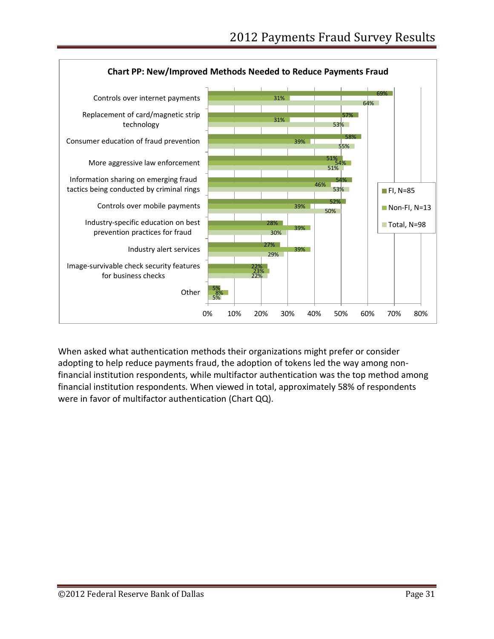

When asked what authentication methods their organizations might prefer or consider adopting to help reduce payments fraud, the adoption of tokens led the way among nonfinancial institution respondents, while multifactor authentication was the top method among financial institution respondents. When viewed in total, approximately 58% of respondents were in favor of multifactor authentication (Chart QQ).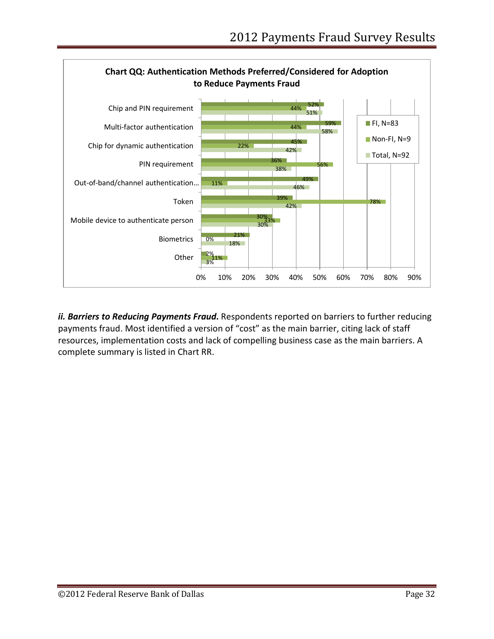

ii. Barriers to Reducing Payments Fraud. Respondents reported on barriers to further reducing payments fraud. Most identified a version of "cost" as the main barrier, citing lack of staff resources, implementation costs and lack of compelling business case as the main barriers. A complete summary is listed in Chart RR.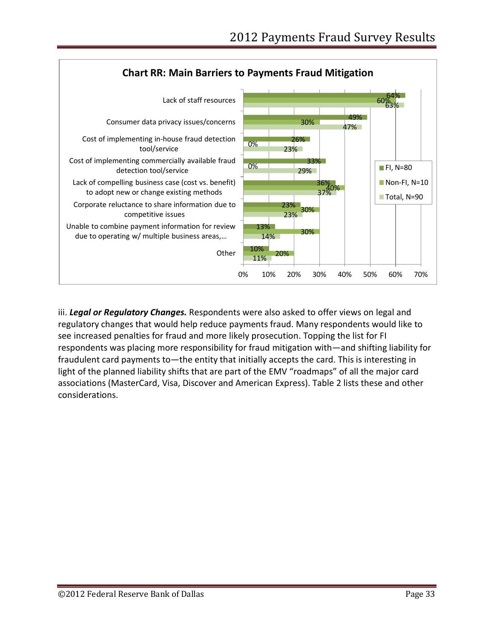

iii. *Legal or Regulatory Changes.* Respondents were also asked to offer views on legal and regulatory changes that would help reduce payments fraud. Many respondents would like to see increased penalties for fraud and more likely prosecution. Topping the list for FI respondents was placing more responsibility for fraud mitigation with—and shifting liability for fraudulent card payments to—the entity that initially accepts the card. This is interesting in light of the planned liability shifts that are part of the EMV "roadmaps" of all the major card associations (MasterCard, Visa, Discover and American Express). Table 2 lists these and other considerations.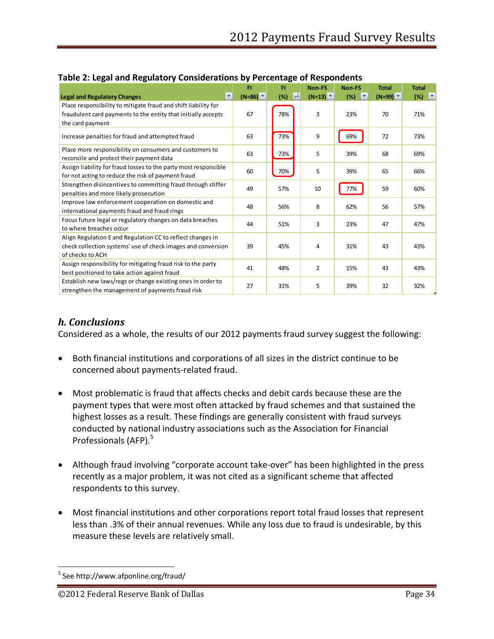|                                                                                                     | FI              | FI                  | Non-FS          | <b>Non-FS</b> | <b>Total</b> | <b>Total</b>        |
|-----------------------------------------------------------------------------------------------------|-----------------|---------------------|-----------------|---------------|--------------|---------------------|
| <b>Legal and Regulatory Changes</b>                                                                 | $(N=86)$ $\tau$ | $\mathbf{L}$<br>(%) | $(N=13)$ $\tau$ | (%)           | $(N=99)$     | $(%)$ $\frac{1}{2}$ |
| Place responsibility to mitigate fraud and shift liability for                                      |                 |                     |                 |               |              |                     |
| fraudulent card payments to the entity that initially accepts                                       | 67              | 78%                 | 3               | 23%           | 70           | 71%                 |
| the card payment                                                                                    |                 |                     |                 |               |              |                     |
| Increase penalties for fraud and attempted fraud                                                    | 63              | 73%                 | 9               | 69%           | 72           | 73%                 |
| Place more responsibility on consumers and customers to<br>reconcile and protect their payment data | 63              | 73%                 | 5               | 39%           | 68           | 69%                 |
| Assign liability for fraud losses to the party most responsible                                     | 60              | 70%                 | 5               | 39%           | 65           | 66%                 |
| for not acting to reduce the risk of payment fraud                                                  |                 |                     |                 |               |              |                     |
| Strengthen disincentives to committing fraud through stiffer                                        | 49              | 57%                 | 10              | 77%           | 59           | 60%                 |
| penalties and more likely prosecution                                                               |                 |                     |                 |               |              |                     |
| Improve law enforcement cooperation on domestic and                                                 | 48              | 56%                 | 8               | 62%           | 56           | 57%                 |
| international payments fraud and fraud rings                                                        |                 |                     |                 |               |              |                     |
| Focus future legal or regulatory changes on data breaches                                           | 44              | 51%                 | 3               | 23%           | 47           | 47%                 |
| to where breaches occur                                                                             |                 |                     |                 |               |              |                     |
| Align Regulation E and Regulation CC to reflect changes in                                          |                 |                     |                 |               |              |                     |
| check collection systems' use of check images and conversion                                        | 39              | 45%                 | 4               | 31%           | 43           | 43%                 |
| of checks to ACH                                                                                    |                 |                     |                 |               |              |                     |
| Assign responsibility for mitigating fraud risk to the party                                        | 41              | 48%                 | $\overline{2}$  | 15%           | 43           | 43%                 |
| best positioned to take action against fraud                                                        |                 |                     |                 |               |              |                     |
| Establish new laws/regs or change existing ones in order to                                         | 27              | 31%                 | 5               | 39%           | 32           | 32%                 |
| strengthen the management of payments fraud risk                                                    |                 |                     |                 |               |              |                     |

#### **Table 2: Legal and Regulatory Considerations by Percentage of Respondents**

# *h. Conclusions*

Considered as a whole, the results of our 2012 payments fraud survey suggest the following:

- Both financial institutions and corporations of all sizes in the district continue to be concerned about payments-related fraud.
- Most problematic is fraud that affects checks and debit cards because these are the payment types that were most often attacked by fraud schemes and that sustained the highest losses as a result. These findings are generally consistent with fraud surveys conducted by national industry associations such as the Association for Financial Professionals (AFP).<sup>[5](#page-33-0)</sup>
- Although fraud involving "corporate account take-over" has been highlighted in the press recently as a major problem, it was not cited as a significant scheme that affected respondents to this survey.
- Most financial institutions and other corporations report total fraud losses that represent less than .3% of their annual revenues. While any loss due to fraud is undesirable, by this measure these levels are relatively small.

<span id="page-33-0"></span> <sup>5</sup> See http://www.afponline.org/fraud/